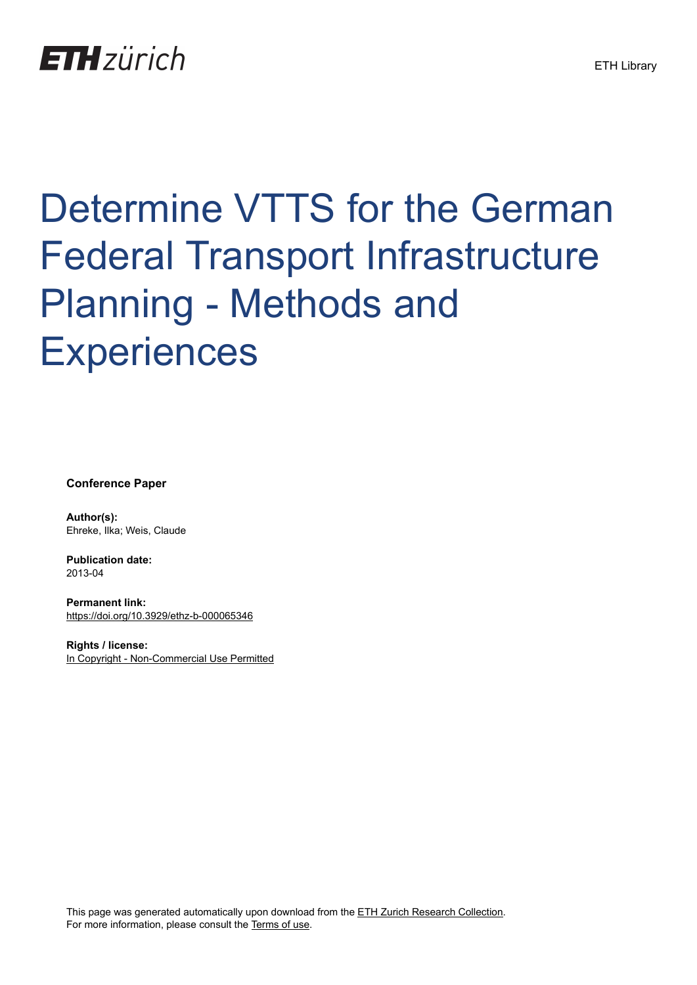# **ETH**zürich

# Determine VTTS for the German Federal Transport Infrastructure Planning - Methods and **Experiences**

**Conference Paper**

**Author(s):** Ehreke, Ilka; Weis, Claude

**Publication date:** 2013-04

**Permanent link:** <https://doi.org/10.3929/ethz-b-000065346>

**Rights / license:** [In Copyright - Non-Commercial Use Permitted](http://rightsstatements.org/page/InC-NC/1.0/)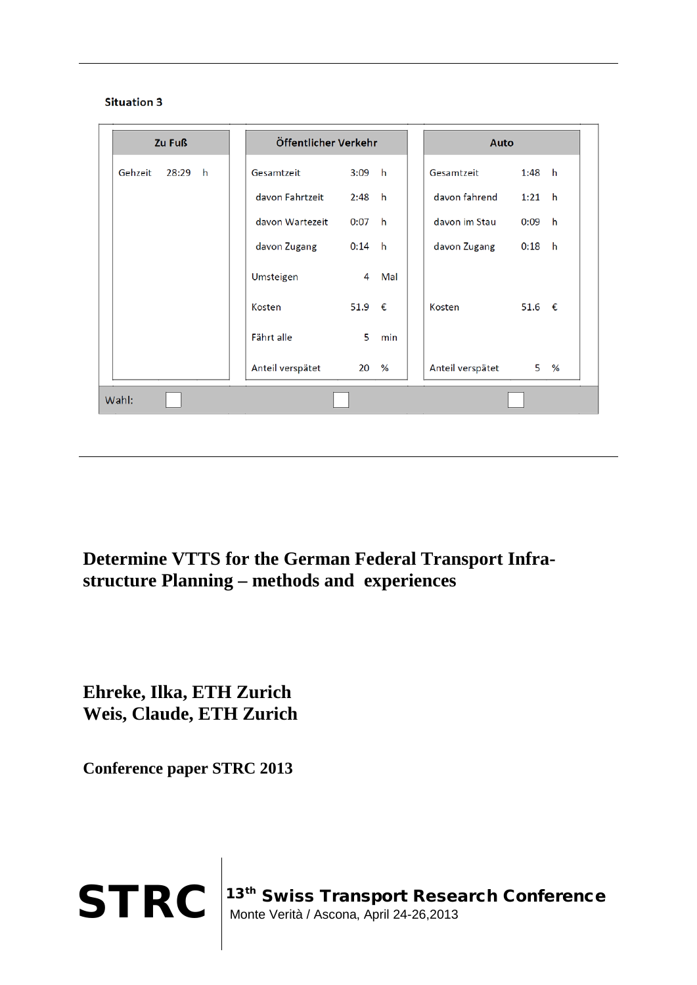



**Determine VTTS for the German Federal Transport Infrastructure Planning – methods and experiences**

**Ehreke, Ilka, ETH Zurich Weis, Claude, ETH Zurich**

**Conference paper STRC 2013**

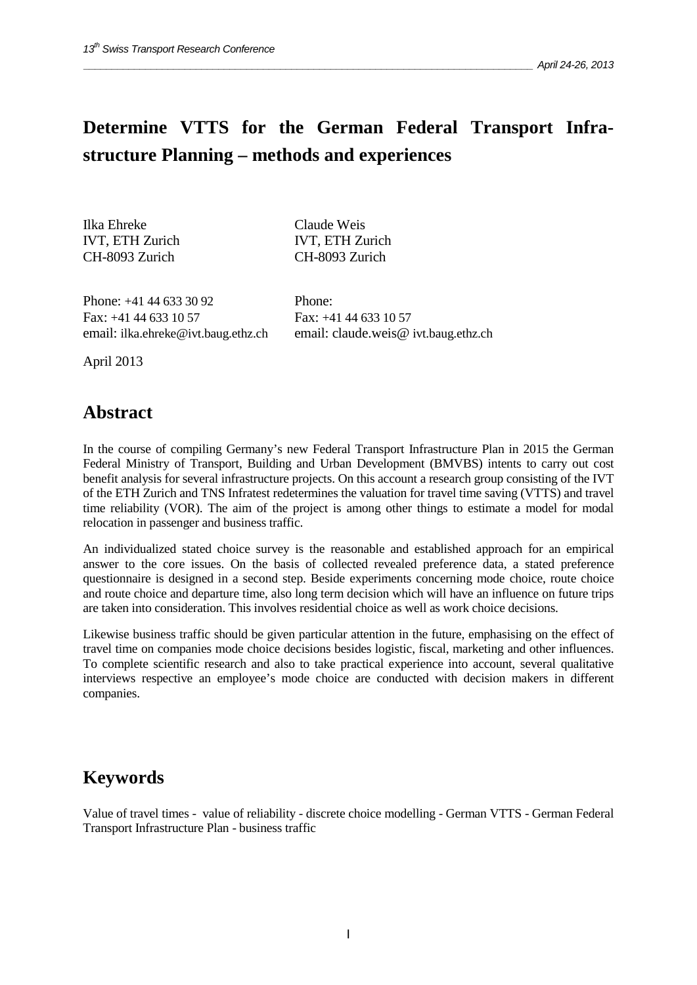# **Determine VTTS for the German Federal Transport Infrastructure Planning – methods and experiences**

Ilka Ehreke IVT, ETH Zurich CH-8093 Zurich

Claude Weis IVT, ETH Zurich CH-8093 Zurich

Phone: +41 44 633 30 92 Fax: +41 44 633 10 57 email: ilka.ehreke@ivt.baug.ethz.ch Phone: Fax: +41 44 633 10 57 email: claude.weis@ ivt.baug.ethz.ch

April 2013

#### **Abstract**

In the course of compiling Germany's new Federal Transport Infrastructure Plan in 2015 the German Federal Ministry of Transport, Building and Urban Development (BMVBS) intents to carry out cost benefit analysis for several infrastructure projects. On this account a research group consisting of the IVT of the ETH Zurich and TNS Infratest redetermines the valuation for travel time saving (VTTS) and travel time reliability (VOR). The aim of the project is among other things to estimate a model for modal relocation in passenger and business traffic.

An individualized stated choice survey is the reasonable and established approach for an empirical answer to the core issues. On the basis of collected revealed preference data, a stated preference questionnaire is designed in a second step. Beside experiments concerning mode choice, route choice and route choice and departure time, also long term decision which will have an influence on future trips are taken into consideration. This involves residential choice as well as work choice decisions.

Likewise business traffic should be given particular attention in the future, emphasising on the effect of travel time on companies mode choice decisions besides logistic, fiscal, marketing and other influences. To complete scientific research and also to take practical experience into account, several qualitative interviews respective an employee's mode choice are conducted with decision makers in different companies.

#### **Keywords**

Value of travel times - value of reliability - discrete choice modelling - German VTTS - German Federal Transport Infrastructure Plan - business traffic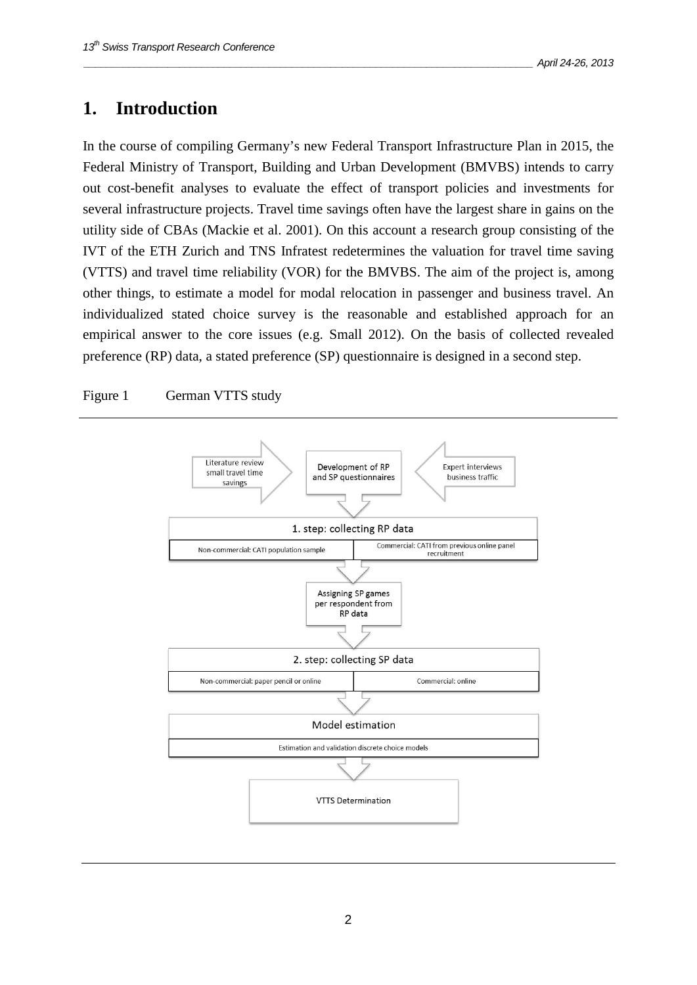### **1. Introduction**

In the course of compiling Germany's new Federal Transport Infrastructure Plan in 2015, the Federal Ministry of Transport, Building and Urban Development (BMVBS) intends to carry out cost-benefit analyses to evaluate the effect of transport policies and investments for several infrastructure projects. Travel time savings often have the largest share in gains on the utility side of CBAs (Mackie et al. 2001). On this account a research group consisting of the IVT of the ETH Zurich and TNS Infratest redetermines the valuation for travel time saving (VTTS) and travel time reliability (VOR) for the BMVBS. The aim of the project is, among other things, to estimate a model for modal relocation in passenger and business travel. An individualized stated choice survey is the reasonable and established approach for an empirical answer to the core issues (e.g. Small 2012). On the basis of collected revealed preference (RP) data, a stated preference (SP) questionnaire is designed in a second step.

#### Figure 1 German VTTS study

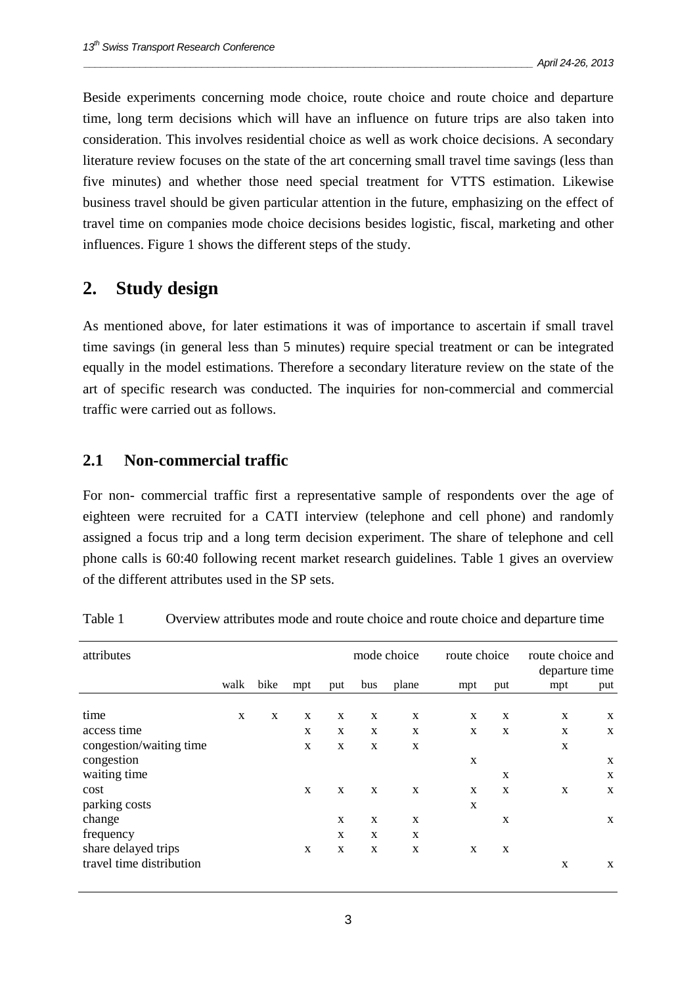Beside experiments concerning mode choice, route choice and route choice and departure time, long term decisions which will have an influence on future trips are also taken into consideration. This involves residential choice as well as work choice decisions. A secondary literature review focuses on the state of the art concerning small travel time savings (less than five minutes) and whether those need special treatment for VTTS estimation. Likewise business travel should be given particular attention in the future, emphasizing on the effect of travel time on companies mode choice decisions besides logistic, fiscal, marketing and other influences. Figure 1 shows the different steps of the study.

#### **2. Study design**

As mentioned above, for later estimations it was of importance to ascertain if small travel time savings (in general less than 5 minutes) require special treatment or can be integrated equally in the model estimations. Therefore a secondary literature review on the state of the art of specific research was conducted. The inquiries for non-commercial and commercial traffic were carried out as follows.

#### **2.1 Non-commercial traffic**

For non- commercial traffic first a representative sample of respondents over the age of eighteen were recruited for a CATI interview (telephone and cell phone) and randomly assigned a focus trip and a long term decision experiment. The share of telephone and cell phone calls is 60:40 following recent market research guidelines. Table 1 gives an overview of the different attributes used in the SP sets.

| attributes               |             |      |             |             |             | mode choice | route choice |             | route choice and<br>departure time |     |
|--------------------------|-------------|------|-------------|-------------|-------------|-------------|--------------|-------------|------------------------------------|-----|
|                          | walk        | bike | mpt         | put         | bus         | plane       | mpt          | put         | mpt                                | put |
|                          |             |      |             |             |             |             |              |             |                                    |     |
| time                     | $\mathbf X$ | X    | X           | X           | X           | X           | X            | X           | $\mathbf X$                        | X   |
| access time              |             |      | X           | $\mathbf X$ | $\mathbf X$ | X           | X            | $\mathbf X$ | X                                  | X   |
| congestion/waiting time  |             |      | X           | X           | X           | X           |              |             | X                                  |     |
| congestion               |             |      |             |             |             |             | X            |             |                                    | X   |
| waiting time             |             |      |             |             |             |             |              | X           |                                    | X   |
| cost                     |             |      | $\mathbf x$ | X           | $\mathbf x$ | X           | $\mathbf{x}$ | X           | X                                  | X   |
| parking costs            |             |      |             |             |             |             | X            |             |                                    |     |
| change                   |             |      |             | X           | X           | X           |              | X           |                                    | X   |
| frequency                |             |      |             | X           | X           | X           |              |             |                                    |     |
| share delayed trips      |             |      | X           | $\mathbf X$ | $\mathbf X$ | X           | X            | X           |                                    |     |
| travel time distribution |             |      |             |             |             |             |              |             | $\mathbf X$                        | X   |

| Table 1 |  |  | Overview attributes mode and route choice and route choice and departure time |  |
|---------|--|--|-------------------------------------------------------------------------------|--|
|         |  |  |                                                                               |  |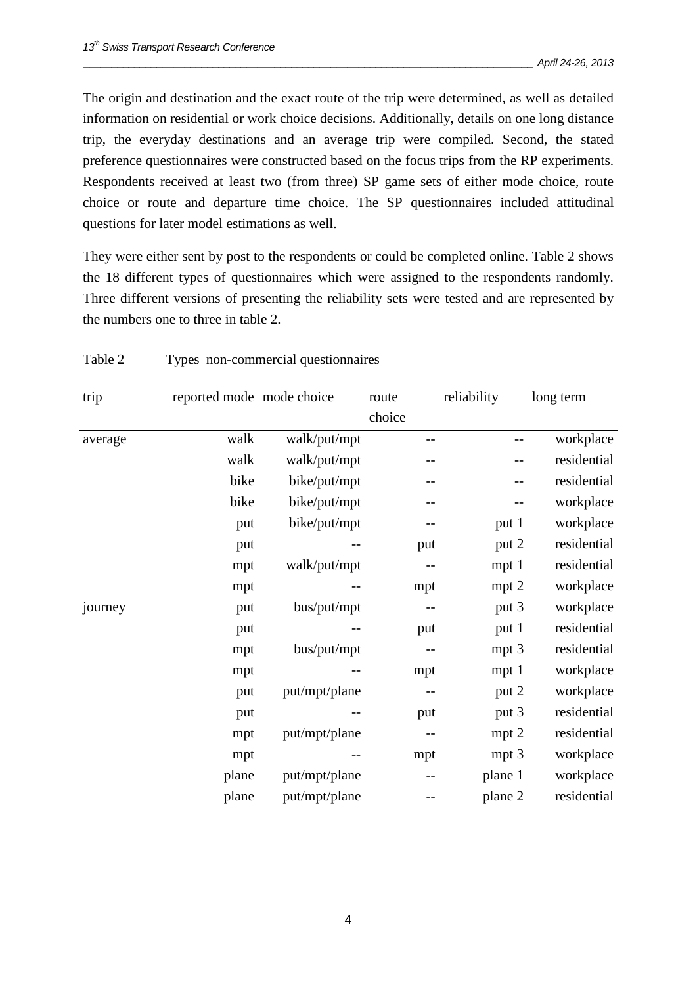The origin and destination and the exact route of the trip were determined, as well as detailed information on residential or work choice decisions. Additionally, details on one long distance trip, the everyday destinations and an average trip were compiled. Second, the stated preference questionnaires were constructed based on the focus trips from the RP experiments. Respondents received at least two (from three) SP game sets of either mode choice, route choice or route and departure time choice. The SP questionnaires included attitudinal questions for later model estimations as well.

They were either sent by post to the respondents or could be completed online. Table 2 shows the 18 different types of questionnaires which were assigned to the respondents randomly. Three different versions of presenting the reliability sets were tested and are represented by the numbers one to three in table 2.

| trip    | reported mode mode choice |               | route<br>choice   | reliability      | long term   |
|---------|---------------------------|---------------|-------------------|------------------|-------------|
| average | walk                      | walk/put/mpt  | $-$               |                  | workplace   |
|         | walk                      | walk/put/mpt  |                   |                  | residential |
|         | bike                      | bike/put/mpt  |                   |                  | residential |
|         | bike                      | bike/put/mpt  |                   |                  | workplace   |
|         | put                       | bike/put/mpt  | --                | put 1            | workplace   |
|         | put                       | --            | put               | put 2            | residential |
|         | mpt                       | walk/put/mpt  |                   | mpt 1            | residential |
|         | mpt                       |               | mpt               | mpt 2            | workplace   |
| journey | put                       | bus/put/mpt   |                   | put 3            | workplace   |
|         | put                       |               | put               | put 1            | residential |
|         | mpt                       | bus/put/mpt   | $\qquad \qquad -$ | mpt 3            | residential |
|         | mpt                       |               | mpt               | mpt <sub>1</sub> | workplace   |
|         | put                       | put/mpt/plane | $-$               | put 2            | workplace   |
|         | put                       |               | put               | put 3            | residential |
|         | mpt                       | put/mpt/plane | $\qquad \qquad -$ | $mpt$ 2          | residential |
|         | mpt                       | --            | mpt               | mpt 3            | workplace   |
|         | plane                     | put/mpt/plane |                   | plane 1          | workplace   |
|         | plane                     | put/mpt/plane |                   | plane 2          | residential |

| Table 2 | Types non-commercial questionnaires |  |
|---------|-------------------------------------|--|
|         |                                     |  |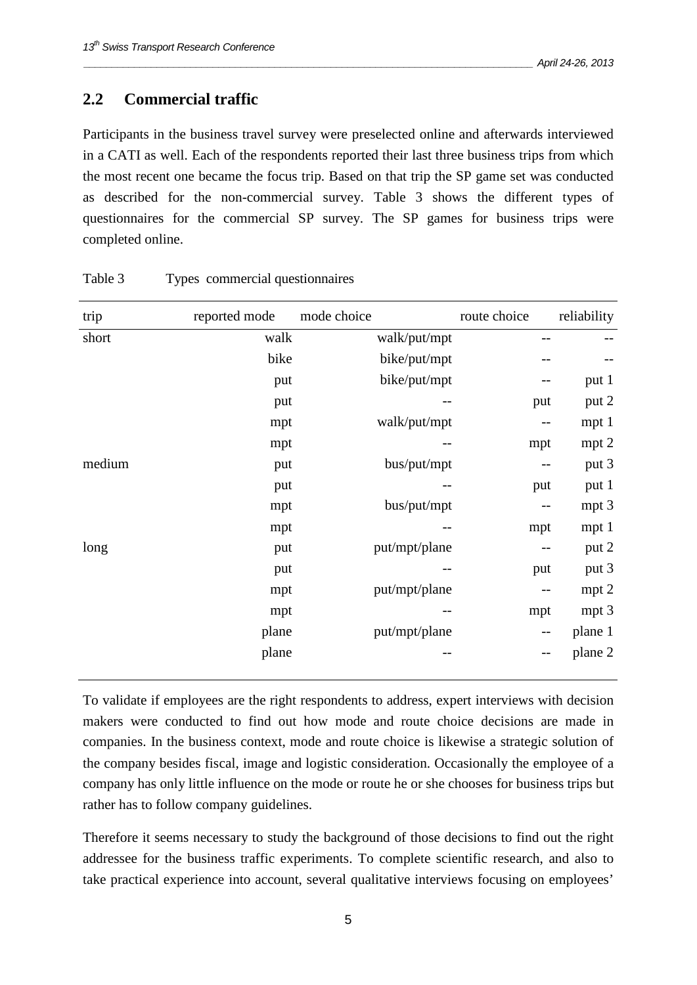#### **2.2 Commercial traffic**

Participants in the business travel survey were preselected online and afterwards interviewed in a CATI as well. Each of the respondents reported their last three business trips from which the most recent one became the focus trip. Based on that trip the SP game set was conducted as described for the non-commercial survey. Table 3 shows the different types of questionnaires for the commercial SP survey. The SP games for business trips were completed online.

| trip   | reported mode | mode choice   | route choice             | reliability      |
|--------|---------------|---------------|--------------------------|------------------|
| short  | walk          | walk/put/mpt  | --                       |                  |
|        | bike          | bike/put/mpt  |                          |                  |
|        | put           | bike/put/mpt  | $\qquad \qquad -$        | put 1            |
|        | put           |               | put                      | put 2            |
|        | mpt           | walk/put/mpt  | --                       | mpt 1            |
|        | mpt           | --            | mpt                      | mpt 2            |
| medium | put           | bus/put/mpt   | $-\,-$                   | put 3            |
|        | put           |               | put                      | put 1            |
|        | mpt           | bus/put/mpt   | $-\,-$                   | mpt 3            |
|        | mpt           |               | mpt                      | mpt 1            |
| long   | put           | put/mpt/plane | $\qquad \qquad -$        | put 2            |
|        | put           |               | put                      | put 3            |
|        | mpt           | put/mpt/plane | --                       | mpt 2            |
|        | mpt           | $- -$         | mpt                      | mpt <sub>3</sub> |
|        | plane         | put/mpt/plane | $-\, -$                  | plane 1          |
|        | plane         | --            | $\overline{\phantom{m}}$ | plane 2          |

Table 3 Types commercial questionnaires

 To validate if employees are the right respondents to address, expert interviews with decision makers were conducted to find out how mode and route choice decisions are made in companies. In the business context, mode and route choice is likewise a strategic solution of the company besides fiscal, image and logistic consideration. Occasionally the employee of a company has only little influence on the mode or route he or she chooses for business trips but rather has to follow company guidelines.

Therefore it seems necessary to study the background of those decisions to find out the right addressee for the business traffic experiments. To complete scientific research, and also to take practical experience into account, several qualitative interviews focusing on employees'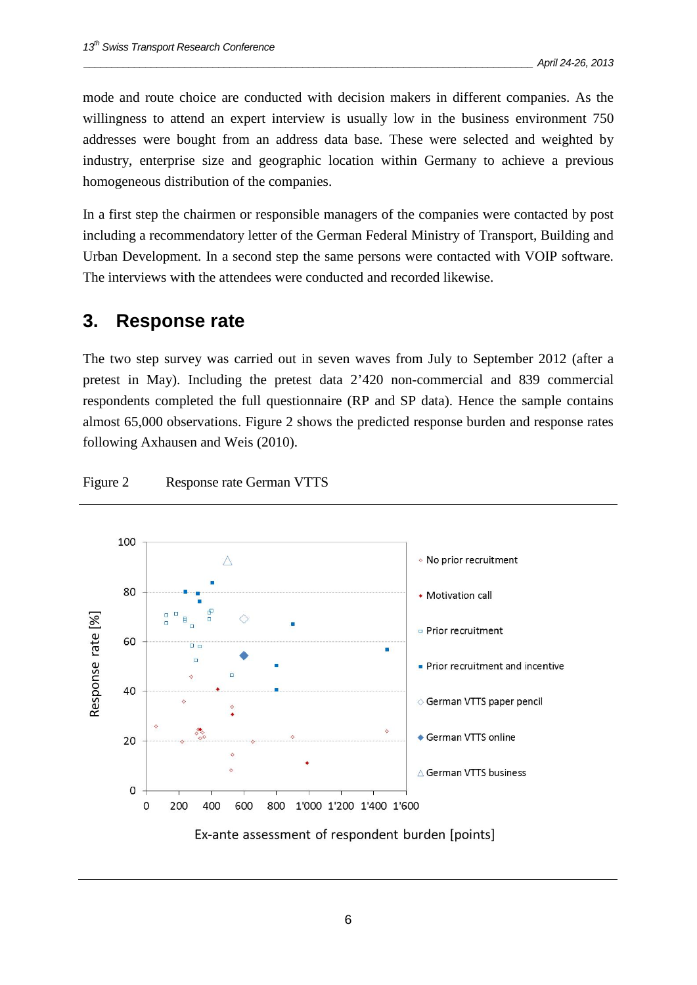mode and route choice are conducted with decision makers in different companies. As the willingness to attend an expert interview is usually low in the business environment 750 addresses were bought from an address data base. These were selected and weighted by industry, enterprise size and geographic location within Germany to achieve a previous homogeneous distribution of the companies.

In a first step the chairmen or responsible managers of the companies were contacted by post including a recommendatory letter of the German Federal Ministry of Transport, Building and Urban Development. In a second step the same persons were contacted with VOIP software. The interviews with the attendees were conducted and recorded likewise.

#### **3. Response rate**

The two step survey was carried out in seven waves from July to September 2012 (after a pretest in May). Including the pretest data 2'420 non-commercial and 839 commercial respondents completed the full questionnaire (RP and SP data). Hence the sample contains almost 65,000 observations. Figure 2 shows the predicted response burden and response rates following Axhausen and Weis (2010).



#### Figure 2 Response rate German VTTS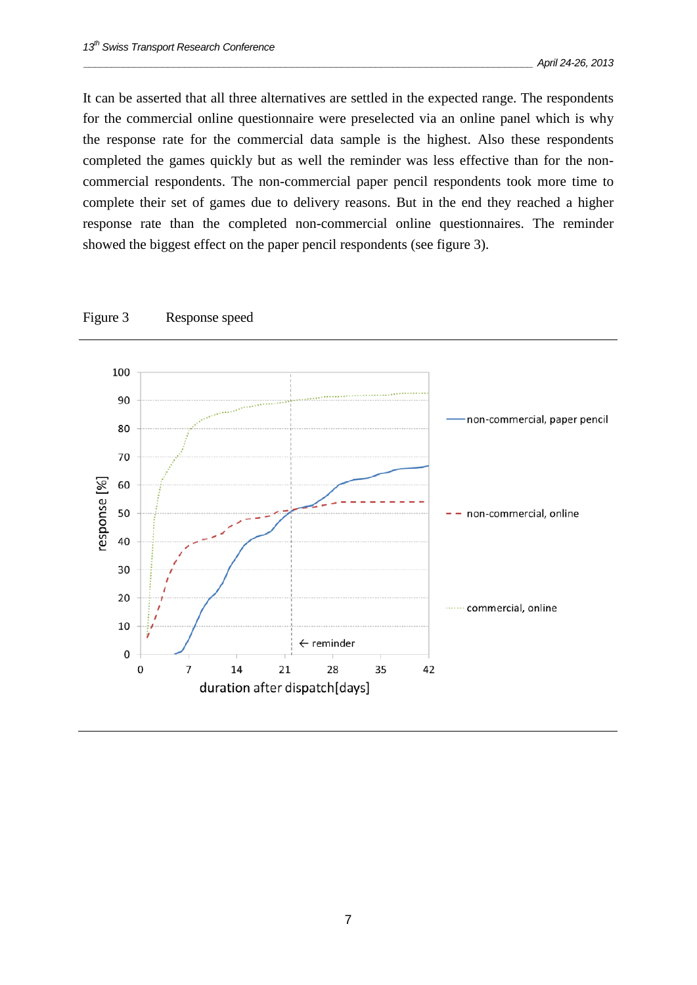It can be asserted that all three alternatives are settled in the expected range. The respondents for the commercial online questionnaire were preselected via an online panel which is why the response rate for the commercial data sample is the highest. Also these respondents completed the games quickly but as well the reminder was less effective than for the noncommercial respondents. The non-commercial paper pencil respondents took more time to complete their set of games due to delivery reasons. But in the end they reached a higher response rate than the completed non-commercial online questionnaires. The reminder showed the biggest effect on the paper pencil respondents (see figure 3).



Figure 3 Response speed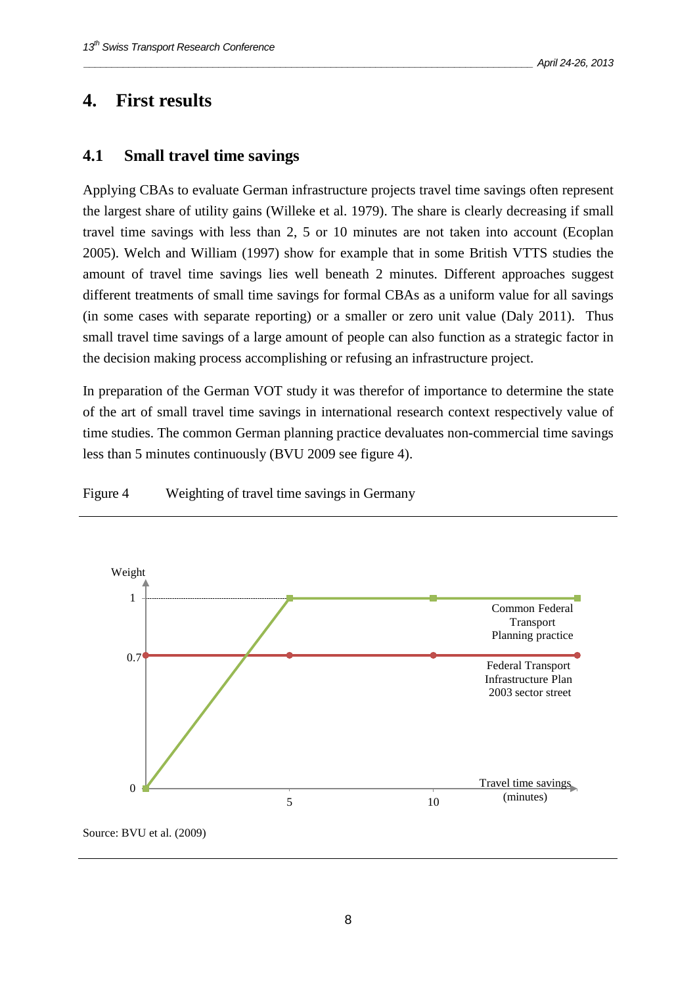#### **4. First results**

#### **4.1 Small travel time savings**

Applying CBAs to evaluate German infrastructure projects travel time savings often represent the largest share of utility gains (Willeke et al. 1979). The share is clearly decreasing if small travel time savings with less than 2, 5 or 10 minutes are not taken into account (Ecoplan 2005). Welch and William (1997) show for example that in some British VTTS studies the amount of travel time savings lies well beneath 2 minutes. Different approaches suggest different treatments of small time savings for formal CBAs as a uniform value for all savings (in some cases with separate reporting) or a smaller or zero unit value (Daly 2011). Thus small travel time savings of a large amount of people can also function as a strategic factor in the decision making process accomplishing or refusing an infrastructure project.

In preparation of the German VOT study it was therefor of importance to determine the state of the art of small travel time savings in international research context respectively value of time studies. The common German planning practice devaluates non-commercial time savings less than 5 minutes continuously (BVU 2009 see figure 4).

Figure 4 Weighting of travel time savings in Germany

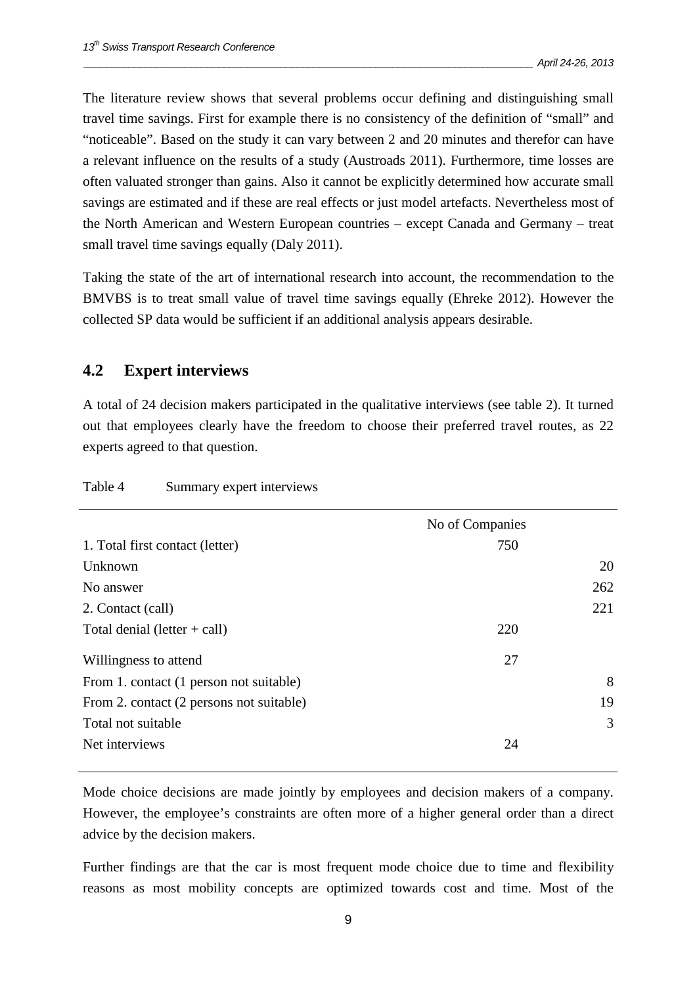The literature review shows that several problems occur defining and distinguishing small travel time savings. First for example there is no consistency of the definition of "small" and "noticeable". Based on the study it can vary between 2 and 20 minutes and therefor can have a relevant influence on the results of a study (Austroads 2011). Furthermore, time losses are often valuated stronger than gains. Also it cannot be explicitly determined how accurate small savings are estimated and if these are real effects or just model artefacts. Nevertheless most of the North American and Western European countries – except Canada and Germany – treat small travel time savings equally (Daly 2011).

Taking the state of the art of international research into account, the recommendation to the BMVBS is to treat small value of travel time savings equally (Ehreke 2012). However the collected SP data would be sufficient if an additional analysis appears desirable.

#### **4.2 Expert interviews**

A total of 24 decision makers participated in the qualitative interviews (see table 2). It turned out that employees clearly have the freedom to choose their preferred travel routes, as 22 experts agreed to that question.

|                                          | No of Companies |     |
|------------------------------------------|-----------------|-----|
| 1. Total first contact (letter)          | 750             |     |
| Unknown                                  |                 | 20  |
| No answer                                |                 | 262 |
| 2. Contact (call)                        |                 | 221 |
| Total denial (letter $+$ call)           | 220             |     |
| Willingness to attend                    | 27              |     |
| From 1. contact (1 person not suitable)  |                 | 8   |
| From 2. contact (2 persons not suitable) |                 | 19  |
| Total not suitable                       |                 | 3   |
| Net interviews                           | 24              |     |
|                                          |                 |     |

Table 4 Summary expert interviews

 Mode choice decisions are made jointly by employees and decision makers of a company. However, the employee's constraints are often more of a higher general order than a direct advice by the decision makers.

Further findings are that the car is most frequent mode choice due to time and flexibility reasons as most mobility concepts are optimized towards cost and time. Most of the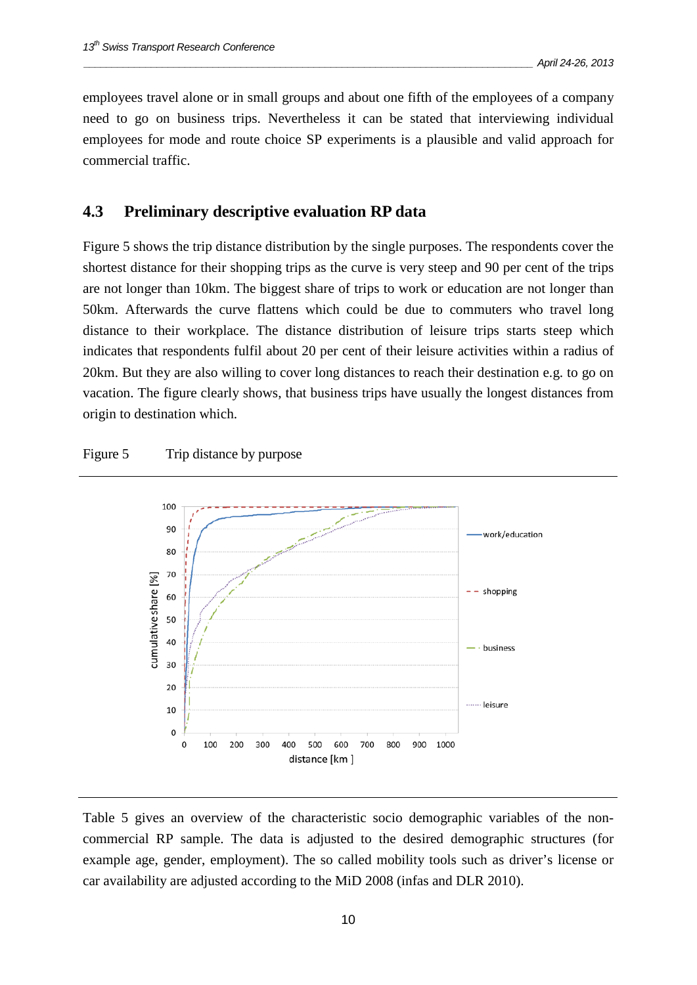employees travel alone or in small groups and about one fifth of the employees of a company need to go on business trips. Nevertheless it can be stated that interviewing individual employees for mode and route choice SP experiments is a plausible and valid approach for commercial traffic.

#### **4.3 Preliminary descriptive evaluation RP data**

Figure 5 shows the trip distance distribution by the single purposes. The respondents cover the shortest distance for their shopping trips as the curve is very steep and 90 per cent of the trips are not longer than 10km. The biggest share of trips to work or education are not longer than 50km. Afterwards the curve flattens which could be due to commuters who travel long distance to their workplace. The distance distribution of leisure trips starts steep which indicates that respondents fulfil about 20 per cent of their leisure activities within a radius of 20km. But they are also willing to cover long distances to reach their destination e.g. to go on vacation. The figure clearly shows, that business trips have usually the longest distances from origin to destination which.

#### Figure 5 Trip distance by purpose



Table 5 gives an overview of the characteristic socio demographic variables of the noncommercial RP sample. The data is adjusted to the desired demographic structures (for example age, gender, employment). The so called mobility tools such as driver's license or car availability are adjusted according to the MiD 2008 (infas and DLR 2010).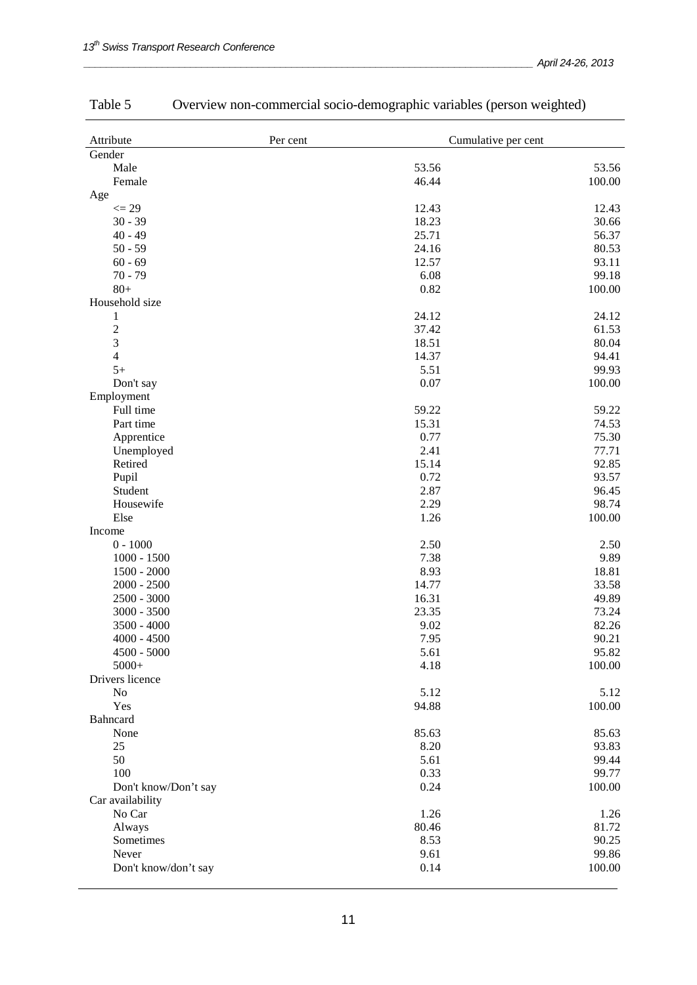| Attribute            | Per cent | Cumulative per cent |
|----------------------|----------|---------------------|
| Gender               |          |                     |
| Male                 | 53.56    | 53.56               |
| Female               | 46.44    | 100.00              |
| Age                  |          |                     |
| $\leq$ 29            | 12.43    | 12.43               |
| $30 - 39$            | 18.23    | 30.66               |
| $40 - 49$            | 25.71    | 56.37               |
| $50 - 59$            | 24.16    | 80.53               |
| $60 - 69$            | 12.57    | 93.11               |
| $70 - 79$            | 6.08     | 99.18               |
| $80+$                | 0.82     | 100.00              |
| Household size       |          |                     |
| 1                    | 24.12    | 24.12               |
| $\overline{c}$       | 37.42    | 61.53               |
| 3                    | 18.51    | 80.04               |
| $\overline{4}$       | 14.37    | 94.41               |
| $5+$                 | 5.51     | 99.93               |
| Don't say            | 0.07     | 100.00              |
| Employment           |          |                     |
|                      | 59.22    |                     |
| Full time            |          | 59.22               |
| Part time            | 15.31    | 74.53               |
| Apprentice           | 0.77     | 75.30               |
| Unemployed           | 2.41     | 77.71               |
| Retired              | 15.14    | 92.85               |
| Pupil                | 0.72     | 93.57               |
| Student              | 2.87     | 96.45               |
| Housewife            | 2.29     | 98.74               |
| Else                 | 1.26     | 100.00              |
| Income               |          |                     |
| $0 - 1000$           | 2.50     | 2.50                |
| $1000 - 1500$        | 7.38     | 9.89                |
| $1500 - 2000$        | 8.93     | 18.81               |
| $2000 - 2500$        | 14.77    | 33.58               |
| $2500 - 3000$        | 16.31    | 49.89               |
| $3000 - 3500$        | 23.35    | 73.24               |
| $3500 - 4000$        | 9.02     | 82.26               |
| $4000 - 4500$        | 7.95     | 90.21               |
| $4500 - 5000$        | 5.61     | 95.82               |
| $5000+$              | 4.18     | 100.00              |
| Drivers licence      |          |                     |
| No                   | 5.12     | 5.12                |
| Yes                  | 94.88    | 100.00              |
| Bahncard             |          |                     |
| None                 | 85.63    | 85.63               |
| 25                   | 8.20     | 93.83               |
| 50                   | 5.61     | 99.44               |
| 100                  | 0.33     | 99.77               |
| Don't know/Don't say | 0.24     | 100.00              |
| Car availability     |          |                     |
| No Car               | 1.26     | 1.26                |
| Always               | 80.46    | 81.72               |
| Sometimes            | 8.53     | 90.25               |
| Never                | 9.61     | 99.86               |
| Don't know/don't say | 0.14     | 100.00              |
|                      |          |                     |

## Table 5 Overview non-commercial socio-demographic variables (person weighted)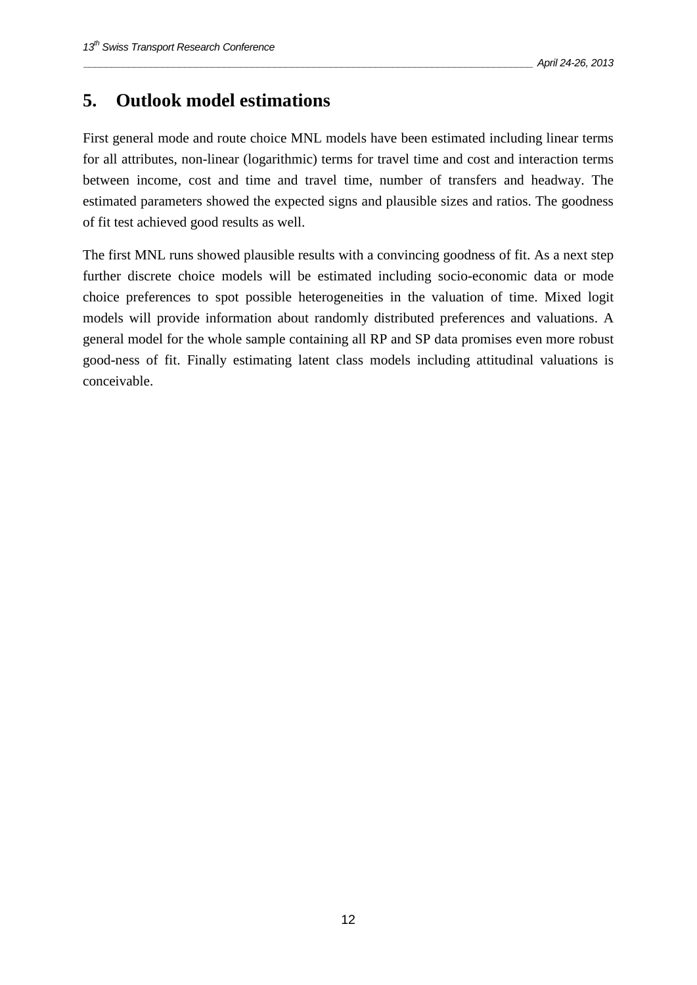#### **5. Outlook model estimations**

First general mode and route choice MNL models have been estimated including linear terms for all attributes, non-linear (logarithmic) terms for travel time and cost and interaction terms between income, cost and time and travel time, number of transfers and headway. The estimated parameters showed the expected signs and plausible sizes and ratios. The goodness of fit test achieved good results as well.

The first MNL runs showed plausible results with a convincing goodness of fit. As a next step further discrete choice models will be estimated including socio-economic data or mode choice preferences to spot possible heterogeneities in the valuation of time. Mixed logit models will provide information about randomly distributed preferences and valuations. A general model for the whole sample containing all RP and SP data promises even more robust good-ness of fit. Finally estimating latent class models including attitudinal valuations is conceivable.